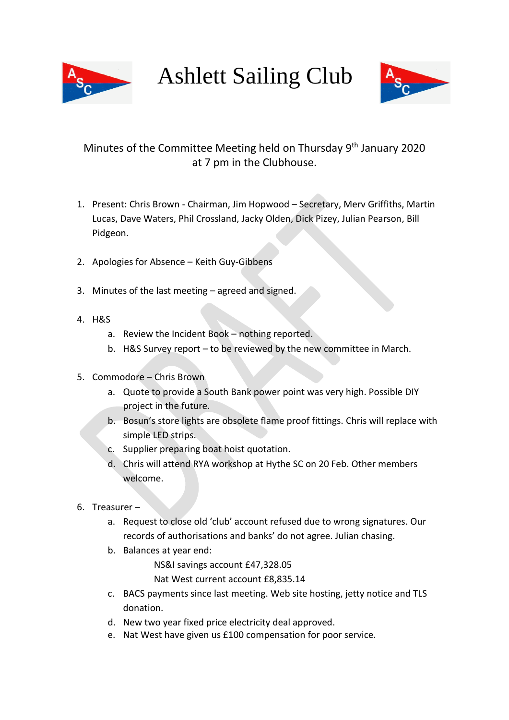

Ashlett Sailing Club



## Minutes of the Committee Meeting held on Thursday 9<sup>th</sup> January 2020 at 7 pm in the Clubhouse.

- 1. Present: Chris Brown Chairman, Jim Hopwood Secretary, Merv Griffiths, Martin Lucas, Dave Waters, Phil Crossland, Jacky Olden, Dick Pizey, Julian Pearson, Bill Pidgeon.
- 2. Apologies for Absence Keith Guy-Gibbens
- 3. Minutes of the last meeting agreed and signed.
- 4. H&S
	- a. Review the Incident Book nothing reported.
	- b. H&S Survey report to be reviewed by the new committee in March.
- 5. Commodore Chris Brown
	- a. Quote to provide a South Bank power point was very high. Possible DIY project in the future.
	- b. Bosun's store lights are obsolete flame proof fittings. Chris will replace with simple LED strips.
	- c. Supplier preparing boat hoist quotation.
	- d. Chris will attend RYA workshop at Hythe SC on 20 Feb. Other members welcome.
- 6. Treasurer
	- a. Request to close old 'club' account refused due to wrong signatures. Our records of authorisations and banks' do not agree. Julian chasing.
	- b. Balances at year end:

NS&I savings account £47,328.05

Nat West current account £8,835.14

- c. BACS payments since last meeting. Web site hosting, jetty notice and TLS donation.
- d. New two year fixed price electricity deal approved.
- e. Nat West have given us £100 compensation for poor service.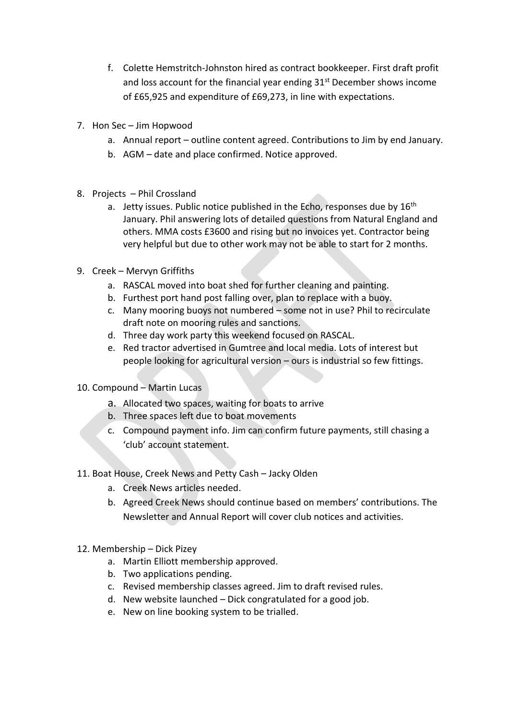- f. Colette Hemstritch-Johnston hired as contract bookkeeper. First draft profit and loss account for the financial year ending 31<sup>st</sup> December shows income of £65,925 and expenditure of £69,273, in line with expectations.
- 7. Hon Sec Jim Hopwood
	- a. Annual report outline content agreed. Contributions to Jim by end January.
	- b. AGM date and place confirmed. Notice approved.
- 8. Projects Phil Crossland
	- a. Jetty issues. Public notice published in the Echo, responses due by  $16<sup>th</sup>$ January. Phil answering lots of detailed questions from Natural England and others. MMA costs £3600 and rising but no invoices yet. Contractor being very helpful but due to other work may not be able to start for 2 months.
- 9. Creek Mervyn Griffiths
	- a. RASCAL moved into boat shed for further cleaning and painting.
	- b. Furthest port hand post falling over, plan to replace with a buoy.
	- c. Many mooring buoys not numbered some not in use? Phil to recirculate draft note on mooring rules and sanctions.
	- d. Three day work party this weekend focused on RASCAL.
	- e. Red tractor advertised in Gumtree and local media. Lots of interest but people looking for agricultural version – ours is industrial so few fittings.
- 10. Compound Martin Lucas
	- a. Allocated two spaces, waiting for boats to arrive
	- b. Three spaces left due to boat movements
	- c. Compound payment info. Jim can confirm future payments, still chasing a 'club' account statement.
- 11. Boat House, Creek News and Petty Cash Jacky Olden
	- a. Creek News articles needed.
	- b. Agreed Creek News should continue based on members' contributions. The Newsletter and Annual Report will cover club notices and activities.
- 12. Membership Dick Pizey
	- a. Martin Elliott membership approved.
	- b. Two applications pending.
	- c. Revised membership classes agreed. Jim to draft revised rules.
	- d. New website launched Dick congratulated for a good job.
	- e. New on line booking system to be trialled.